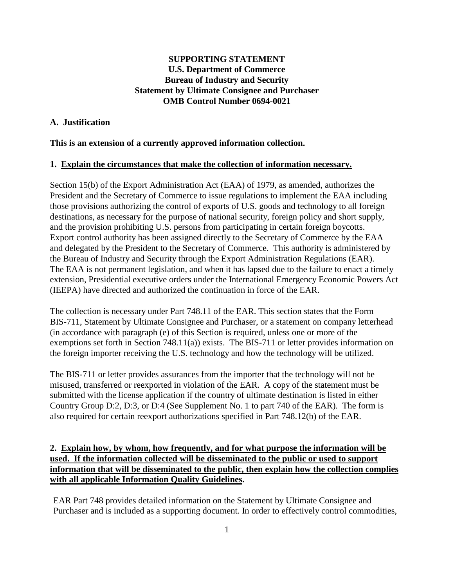## **SUPPORTING STATEMENT U.S. Department of Commerce Bureau of Industry and Security Statement by Ultimate Consignee and Purchaser OMB Control Number 0694-0021**

### **A. Justification**

### **This is an extension of a currently approved information collection.**

### **1. Explain the circumstances that make the collection of information necessary.**

Section 15(b) of the Export Administration Act (EAA) of 1979, as amended, authorizes the President and the Secretary of Commerce to issue regulations to implement the EAA including those provisions authorizing the control of exports of U.S. goods and technology to all foreign destinations, as necessary for the purpose of national security, foreign policy and short supply, and the provision prohibiting U.S. persons from participating in certain foreign boycotts. Export control authority has been assigned directly to the Secretary of Commerce by the EAA and delegated by the President to the Secretary of Commerce. This authority is administered by the Bureau of Industry and Security through the Export Administration Regulations (EAR). The EAA is not permanent legislation, and when it has lapsed due to the failure to enact a timely extension, Presidential executive orders under the International Emergency Economic Powers Act (IEEPA) have directed and authorized the continuation in force of the EAR.

The collection is necessary under Part 748.11 of the EAR. This section states that the Form BIS-711, Statement by Ultimate Consignee and Purchaser, or a statement on company letterhead (in accordance with paragraph (e) of this Section is required, unless one or more of the exemptions set forth in Section 748.11(a)) exists. The BIS-711 or letter provides information on the foreign importer receiving the U.S. technology and how the technology will be utilized.

The BIS-711 or letter provides assurances from the importer that the technology will not be misused, transferred or reexported in violation of the EAR. A copy of the statement must be submitted with the license application if the country of ultimate destination is listed in either Country Group D:2, D:3, or D:4 (See Supplement No. 1 to part 740 of the EAR). The form is also required for certain reexport authorizations specified in Part 748.12(b) of the EAR.

# **2. Explain how, by whom, how frequently, and for what purpose the information will be used. If the information collected will be disseminated to the public or used to support information that will be disseminated to the public, then explain how the collection complies with all applicable Information Quality Guidelines.**

EAR Part 748 provides detailed information on the Statement by Ultimate Consignee and Purchaser and is included as a supporting document. In order to effectively control commodities,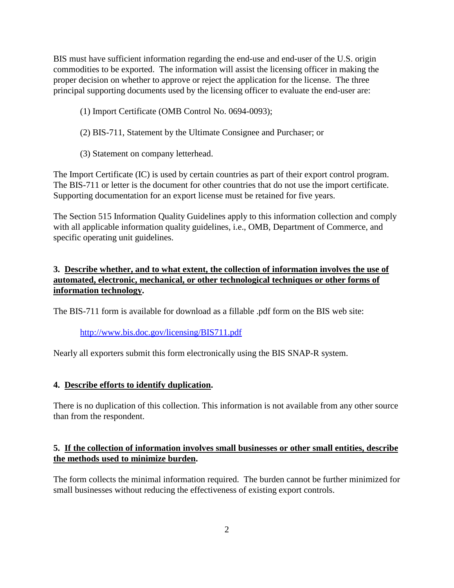BIS must have sufficient information regarding the end-use and end-user of the U.S. origin commodities to be exported. The information will assist the licensing officer in making the proper decision on whether to approve or reject the application for the license. The three principal supporting documents used by the licensing officer to evaluate the end-user are:

- (1) Import Certificate (OMB Control No. 0694-0093);
- (2) BIS-711, Statement by the Ultimate Consignee and Purchaser; or
- (3) Statement on company letterhead.

The Import Certificate (IC) is used by certain countries as part of their export control program. The BIS-711 or letter is the document for other countries that do not use the import certificate. Supporting documentation for an export license must be retained for five years.

The Section 515 Information Quality Guidelines apply to this information collection and comply with all applicable information quality guidelines, i.e., OMB, Department of Commerce, and specific operating unit guidelines.

## **3. Describe whether, and to what extent, the collection of information involves the use of automated, electronic, mechanical, or other technological techniques or other forms of information technology.**

The BIS-711 form is available for download as a fillable .pdf form on the BIS web site:

## <http://www.bis.doc.gov/licensing/BIS711.pdf>

Nearly all exporters submit this form electronically using the BIS SNAP-R system.

### **4. Describe efforts to identify duplication.**

There is no duplication of this collection. This information is not available from any other source than from the respondent.

## **5. If the collection of information involves small businesses or other small entities, describe the methods used to minimize burden.**

The form collects the minimal information required. The burden cannot be further minimized for small businesses without reducing the effectiveness of existing export controls.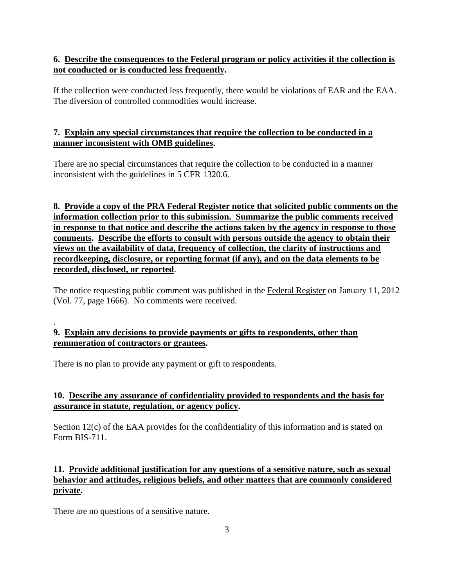# **6. Describe the consequences to the Federal program or policy activities if the collection is not conducted or is conducted less frequently.**

If the collection were conducted less frequently, there would be violations of EAR and the EAA. The diversion of controlled commodities would increase.

# **7. Explain any special circumstances that require the collection to be conducted in a manner inconsistent with OMB guidelines.**

There are no special circumstances that require the collection to be conducted in a manner inconsistent with the guidelines in 5 CFR 1320.6.

**8. Provide a copy of the PRA Federal Register notice that solicited public comments on the information collection prior to this submission. Summarize the public comments received in response to that notice and describe the actions taken by the agency in response to those comments. Describe the efforts to consult with persons outside the agency to obtain their views on the availability of data, frequency of collection, the clarity of instructions and recordkeeping, disclosure, or reporting format (if any), and on the data elements to be recorded, disclosed, or reported**.

The notice requesting public comment was published in the Federal Register on January 11, 2012 (Vol. 77, page 1666). No comments were received.

## **9. Explain any decisions to provide payments or gifts to respondents, other than remuneration of contractors or grantees.**

There is no plan to provide any payment or gift to respondents.

# **10. Describe any assurance of confidentiality provided to respondents and the basis for assurance in statute, regulation, or agency policy.**

Section 12(c) of the EAA provides for the confidentiality of this information and is stated on Form BIS-711.

# **11. Provide additional justification for any questions of a sensitive nature, such as sexual behavior and attitudes, religious beliefs, and other matters that are commonly considered private.**

There are no questions of a sensitive nature.

.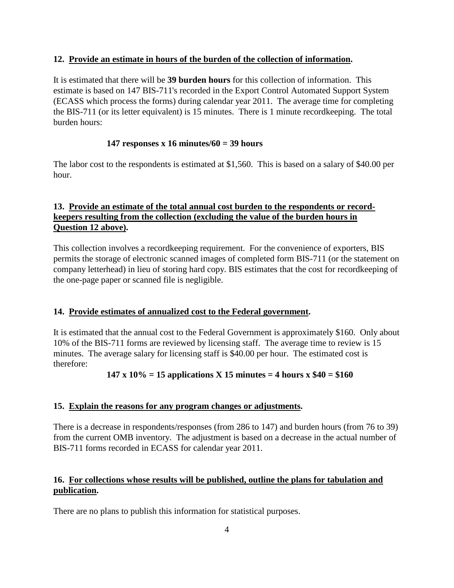### **12. Provide an estimate in hours of the burden of the collection of information.**

It is estimated that there will be **39 burden hours** for this collection of information. This estimate is based on 147 BIS-711's recorded in the Export Control Automated Support System (ECASS which process the forms) during calendar year 2011. The average time for completing the BIS-711 (or its letter equivalent) is 15 minutes. There is 1 minute recordkeeping. The total burden hours:

## **147 responses x 16 minutes/60 = 39 hours**

The labor cost to the respondents is estimated at \$1,560. This is based on a salary of \$40.00 per hour.

# **13. Provide an estimate of the total annual cost burden to the respondents or recordkeepers resulting from the collection (excluding the value of the burden hours in Question 12 above).**

This collection involves a recordkeeping requirement. For the convenience of exporters, BIS permits the storage of electronic scanned images of completed form BIS-711 (or the statement on company letterhead) in lieu of storing hard copy. BIS estimates that the cost for recordkeeping of the one-page paper or scanned file is negligible.

## **14. Provide estimates of annualized cost to the Federal government.**

It is estimated that the annual cost to the Federal Government is approximately \$160. Only about 10% of the BIS-711 forms are reviewed by licensing staff. The average time to review is 15 minutes. The average salary for licensing staff is \$40.00 per hour. The estimated cost is therefore:

## **147 x 10% = 15 applications X 15 minutes = 4 hours x \$40 = \$160**

### **15. Explain the reasons for any program changes or adjustments.**

There is a decrease in respondents/responses (from 286 to 147) and burden hours (from 76 to 39) from the current OMB inventory. The adjustment is based on a decrease in the actual number of BIS-711 forms recorded in ECASS for calendar year 2011.

## **16. For collections whose results will be published, outline the plans for tabulation and publication.**

There are no plans to publish this information for statistical purposes.